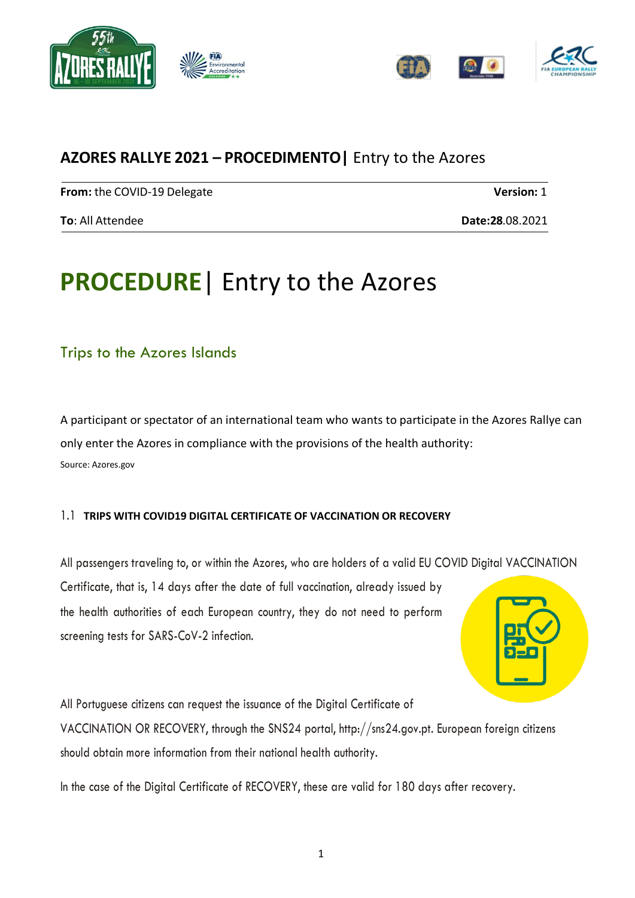



# **AZORES RALLYE 2021 – PROCEDIMENTO|** Entry to the Azores

**From:** the COVID-19 Delegate **Version:** 1

**To**: All Attendee **Date:28**.08.2021

# **PROCEDURE**| Entry to the Azores

# Trips to the Azores Islands

A participant or spectator of an international team who wants to participate in the Azores Rallye can only enter the Azores in compliance with the provisions of the health authority: Source: Azores.gov

## 1.1 **TRIPS WITH COVID19 DIGITAL CERTIFICATE OF VACCINATION OR RECOVERY**

All passengers traveling to, or within the Azores, who are holders of a valid EU COVID Digital VACCINATION Certificate, that is, 14 days after the date of full vaccination, already issued by the health authorities of each European country, they do not need to perform screening tests for SARS-CoV-2 infection.



All Portuguese citizens can request the issuance of the Digital Certificate of VACCINATION OR RECOVERY, through the SNS24 portal, http://sns24.gov.pt. European foreign citizens should obtain more information from their national health authority.

In the case of the Digital Certificate of RECOVERY, these are valid for 180 days after recovery.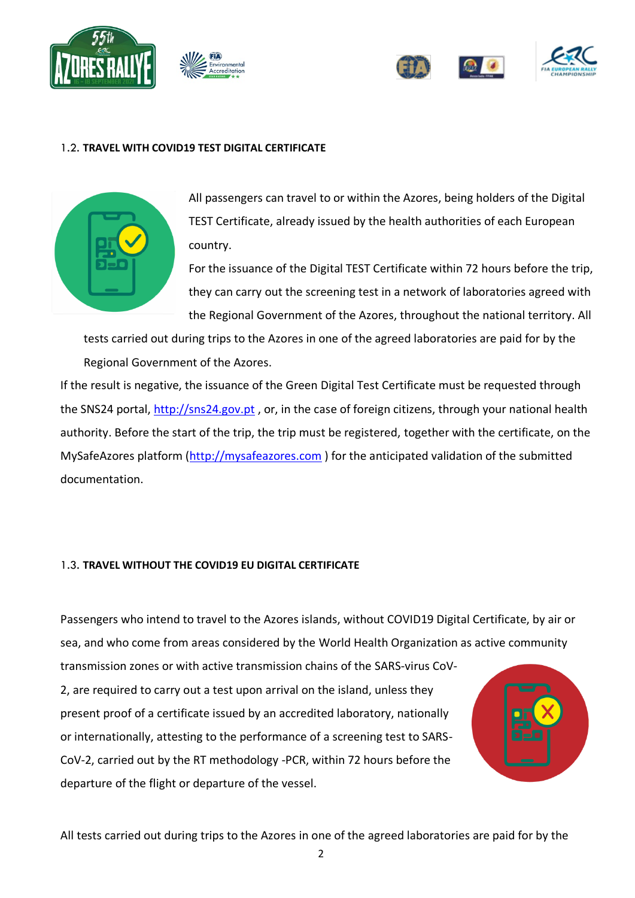





### 1.2. **TRAVEL WITH COVID19 TEST DIGITAL CERTIFICATE**



All passengers can travel to or within the Azores, being holders of the Digital TEST Certificate, already issued by the health authorities of each European country.

For the issuance of the Digital TEST Certificate within 72 hours before the trip, they can carry out the screening test in a network of laboratories agreed with the Regional Government of the Azores, throughout the national territory. All

tests carried out during trips to the Azores in one of the agreed laboratories are paid for by the Regional Government of the Azores.

If the result is negative, the issuance of the Green Digital Test Certificate must be requested through the SNS24 portal, [http://sns24.gov.pt](http://sns24.gov.pt/) , or, in the case of foreign citizens, through your national health authority. Before the start of the trip, the trip must be registered, together with the certificate, on the MySafeAzores platform [\(http://mysafeazores.com](http://mysafeazores.com/) ) for the anticipated validation of the submitted documentation.

#### 1.3. **TRAVEL WITHOUT THE COVID19 EU DIGITAL CERTIFICATE**

Passengers who intend to travel to the Azores islands, without COVID19 Digital Certificate, by air or sea, and who come from areas considered by the World Health Organization as active community

transmission zones or with active transmission chains of the SARS-virus CoV-2, are required to carry out a test upon arrival on the island, unless they present proof of a certificate issued by an accredited laboratory, nationally or internationally, attesting to the performance of a screening test to SARS-CoV-2, carried out by the RT methodology -PCR, within 72 hours before the departure of the flight or departure of the vessel.



All tests carried out during trips to the Azores in one of the agreed laboratories are paid for by the